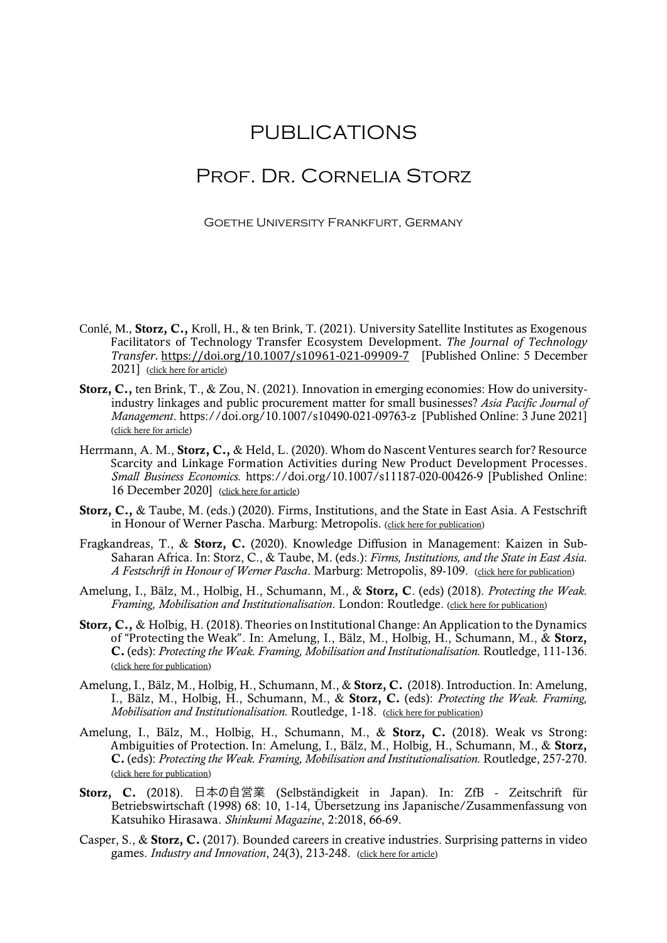## PUBLICATIONS

## Prof. Dr. Cornelia Storz

Goethe University Frankfurt, Germany

- Conlé, M., Storz, C., Kroll, H., & ten Brink, T. (2021). University Satellite Institutes as Exogenous Facilitators of Technology Transfer Ecosystem Development. *The Journal of Technology Transfer*. <https://doi.org/10.1007/s10961-021-09909-7> [Published Online: 5 December 2021] [\(click here for article\)](https://link.springer.com/article/10.1007/s10961-021-09909-7)
- Storz, C., ten Brink, T., & Zou, N. (2021). Innovation in emerging economies: How do universityindustry linkages and public procurement matter for small businesses? *Asia Pacific Journal of Management*.<https://doi.org/10.1007/s10490-021-09763-z>[Published Online: 3 June 2021] [\(click here for article\)](https://link.springer.com/article/10.1007/s10490-021-09763-z?wt_mc=Internal.Event.1.SEM.ArticleAuthorOnlineFirst&utm_source=ArticleAuthorOnlineFirst&utm_medium=email&utm_content=AA_en_06082018&ArticleAuthorOnlineFirst_20210604)
- Herrmann, A. M., Storz, C., & Held, L. (2020). Whom do Nascent Ventures search for? Resource Scarcity and Linkage Formation Activities during New Product Development Processes. *Small Business Economics.* https://doi.org/10.1007/s11187-020-00426-9 [Published Online: 16 December 2020] [\(click here for article\)](https://link.springer.com/epdf/10.1007/s11187-020-00426-9?sharing_token=F7D8TyYSrit4W2CfLSyTh_e4RwlQNchNByi7wbcMAY4HN70-hor6IgGmAMppsbCNGBOtb2N9L7oGfiSvCJwcmTOSwaSsjGMeqFwsBMaBp03E90lckGR5Hzh6JDmLXYRU4cCwmxDCFlvBLbQ25ZCesdZZcghhQJJVmUsbYyPyedA%3D)
- Storz, C., & Taube, M. (eds.) (2020). Firms, Institutions, and the State in East Asia. A Festschrift in Honour of Werner Pascha. Marburg: Metropolis. [\(click here for publication\)](https://www.metropolis-verlag.de/Firms%2C-Institutions%2C-and-the-State-in-East-Asia/1451/book.do)
- Fragkandreas, T., & Storz, C. (2020). Knowledge Diffusion in Management: Kaizen in Sub-Saharan Africa. In: Storz, C., & Taube, M. (eds.): *Firms, Institutions, and the State in East Asia. A Festschrift in Honour of Werner Pascha*. Marburg: Metropolis, 89-109. [\(click here for publication\)](https://www.metropolis-verlag.de/Firms%2C-Institutions%2C-and-the-State-in-East-Asia/1451/book.do)
- Amelung, I., Bälz, M., Holbig, H., Schumann, M., & Storz, C. (eds) (2018). *Protecting the Weak. Framing, Mobilisation and Institutionalisation*. London: Routledge. [\(click here for publication\)](https://www.routledge.com/Protecting-the-Weak-in-East-Asia-Framing-Mobilisation-and-Institutionalisation/Amelung-Balz-Holbig-Schumann-Storz/p/book/9780815368229)
- Storz, C., & Holbig, H. (2018). Theories on Institutional Change: An Application to the Dynamics of "Protecting the Weak". In: Amelung, I., Bälz, M., Holbig, H., Schumann, M., & Storz, C. (eds): *Protecting the Weak. Framing, Mobilisation and Institutionalisation.* Routledge, 111-136. [\(click here for publication\)](https://www.routledge.com/Protecting-the-Weak-in-East-Asia-Framing-Mobilisation-and-Institutionalisation/Amelung-Balz-Holbig-Schumann-Storz/p/book/9780815368229)
- Amelung, I., Bälz, M., Holbig, H., Schumann, M., & Storz, C. (2018). Introduction. In: Amelung, I., Bälz, M., Holbig, H., Schumann, M., & Storz, C. (eds): *Protecting the Weak. Framing, Mobilisation and Institutionalisation.* Routledge, 1-18. [\(click here for publication\)](https://www.routledge.com/Protecting-the-Weak-in-East-Asia-Framing-Mobilisation-and-Institutionalisation/Amelung-Balz-Holbig-Schumann-Storz/p/book/9780815368229)
- Amelung, I., Bälz, M., Holbig, H., Schumann, M., & Storz, C. (2018). Weak vs Strong: Ambiguities of Protection. In: Amelung, I., Bälz, M., Holbig, H., Schumann, M., & Storz, C. (eds): *Protecting the Weak. Framing, Mobilisation and Institutionalisation.* Routledge, 257-270. [\(click here for publication\)](https://www.routledge.com/Protecting-the-Weak-in-East-Asia-Framing-Mobilisation-and-Institutionalisation/Amelung-Balz-Holbig-Schumann-Storz/p/book/9780815368229)
- Storz, C. (2018). 日本の自営業 (Selbständigkeit in Japan). In: ZfB Zeitschrift für Betriebswirtschaft (1998) 68: 10, 1-14, Übersetzung ins Japanische/Zusammenfassung von Katsuhiko Hirasawa. *Shinkumi Magazine*, 2:2018, 66-69.
- Casper, S., & Storz, C. (2017). Bounded careers in creative industries. Surprising patterns in video games. *Industry and Innovation*, 24(3), 213-248. [\(click here for article\)](https://www.tandfonline.com/doi/full/10.1080/13662716.2016.1224705)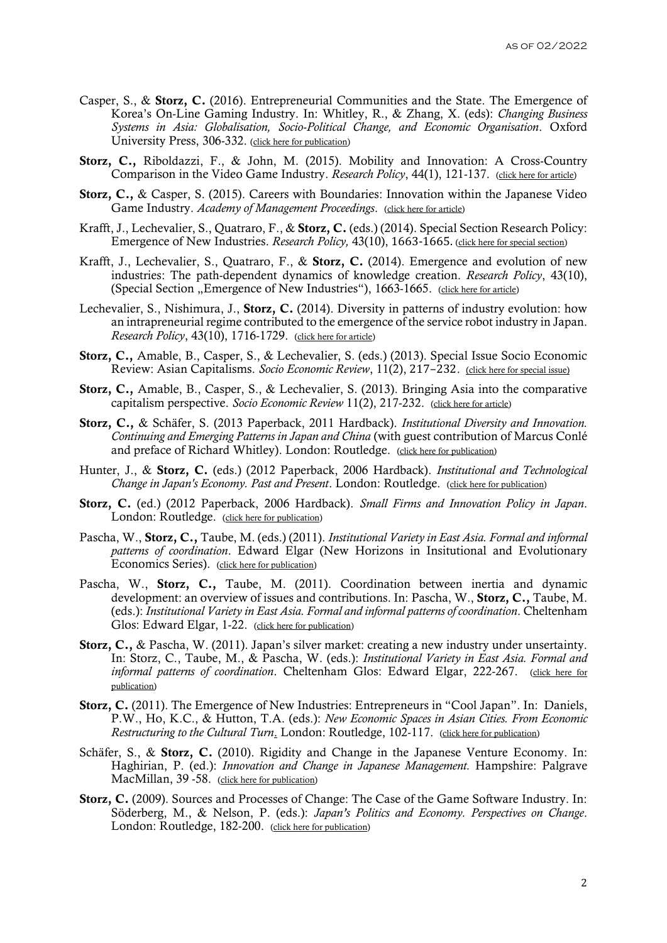- Casper, S., & Storz, C. (2016). Entrepreneurial Communities and the State. The Emergence of Korea's On-Line Gaming Industry. In: Whitley, R., & Zhang, X. (eds): *Changing Business Systems in Asia: Globalisation, Socio-Political Change, and Economic Organisation*. Oxford University Press, 306-332. [\(click here for publication\)](https://www.oxfordscholarship.com/view/10.1093/acprof:oso/9780198729167.001.0001/acprof-9780198729167)
- Storz, C., Riboldazzi, F., & John, M. (2015). Mobility and Innovation: A Cross-Country Comparison in the Video Game Industry. *Research Policy*, 44(1), 121-137. [\(click here for article\)](http://www.sciencedirect.com/science/article/pii/S004873331400136X)
- Storz, C., & Casper, S. (2015). Careers with Boundaries: Innovation within the Japanese Video Game Industry. *Academy of Management Proceedings*. [\(click here for article\)](https://journals.aom.org/doi/10.5465/ambpp.2015.15463abstract)
- Krafft, J., Lechevalier, S., Quatraro, F., & Storz, C. (eds.) (2014). Special Section Research Policy: Emergence of New Industries. *Research Policy,* 43(10), 1663-1665. [\(click here for special section\)](https://www.sciencedirect.com/journal/research-policy/vol/43/issue/10)
- Krafft, J., Lechevalier, S., Quatraro, F., & Storz, C. (2014). Emergence and evolution of new industries: The path-dependent dynamics of knowledge creation. *Research Policy*, 43(10), (Special Section "Emergence of New Industries"), 1663-1665. [\(click here for article\)](http://www.sciencedirect.com/science/article/pii/S0048733314001279)
- Lechevalier, S., Nishimura, J., Storz, C. (2014). Diversity in patterns of industry evolution: how an intrapreneurial regime contributed to the emergence of the service robot industry in Japan. *Research Policy*, 43(10), 1716-1729. [\(click here for article\)](http://www.sciencedirect.com/science/article/pii/S0048733314001334)
- Storz, C., Amable, B., Casper, S., & Lechevalier, S. (eds.) (2013). Special Issue Socio Economic Review: Asian Capitalisms. *Socio Economic Review*, 11(2), 217–232. [\(click here for special issue\)](http://ser.oxfordjournals.org/content/11/2.toc)
- Storz, C., Amable, B., Casper, S., & Lechevalier, S. (2013). Bringing Asia into the comparative capitalism perspective. *Socio Economic Review* [11\(2\)](http://ser.oxfordjournals.org/content/11/2.toc), 217-232. [\(click here for article\)](https://doi.org/10.1093/ser/mwt004)
- Storz, C., & Schäfer, S. (2013 Paperback, 2011 Hardback). *Institutional Diversity and Innovation. Continuing and Emerging Patterns in Japan and China* (with guest contribution of Marcus Conlé and preface of Richard Whitley). London: Routledge. [\(click here for publication\)](https://www.routledge.com/Institutional-Diversity-and-Innovation-Continuing-and-Emerging-Patterns/Storz-Schafer-Conle/p/book/9780415726207)
- Hunter, J., & Storz, C. (eds.) (2012 Paperback, 2006 Hardback). *Institutional and Technological Change in Japan's Economy. Past and Present. London: Routledge.* [\(click here for publication\)](https://www.routledge.com/Institutional-and-Technological-Change-in-Japans-Economy-Past-and-Present/Hunter-Storz/p/book/9780415648585)
- Storz, C. (ed.) (2012 Paperback, 2006 Hardback). *Small Firms and Innovation Policy in Japan*. London: Routledge. [\(click here for publication\)](https://www.routledge.com/Small-Firms-and-Innovation-Policy-in-Japan-1st-Edition/Storz/p/book/9780415651721)
- Pascha, W., Storz, C., Taube, M. (eds.) (2011). *Institutional Variety in East Asia. Formal and informal patterns of coordination*. Edward Elgar (New Horizons in Insitutional and Evolutionary Economics Series). [\(click here for publication\)](https://www.e-elgar.com/shop/gbp/institutional-variety-in-east-asia-9781849807951.html)
- Pascha, W., Storz, C., Taube, M. (2011). Coordination between inertia and dynamic development: an overview of issues and contributions. In: Pascha, W., Storz, C., Taube, M. (eds.): *Institutional Variety in East Asia. Formal and informal patterns of coordination*. Cheltenham Glos: Edward Elgar, 1-22. [\(click here for publication\)](https://www.researchgate.net/publication/265412074_Coordination_between_inertia_and_dynamic_development_An_overview_of_issues_and_contributions)
- Storz, C., & Pascha, W. (2011). Japan's silver market: creating a new industry under unsertainty. In: Storz, C., Taube, M., & Pascha, W. (eds.): *Institutional Variety in East Asia. Formal and informal patterns of coordination*. Cheltenham Glos: Edward Elgar, 222-267. [\(click here for](https://ideas.repec.org/h/elg/eechap/14221_10.html)  [publication\)](https://ideas.repec.org/h/elg/eechap/14221_10.html)
- Storz, C. (2011). The Emergence of New Industries: Entrepreneurs in "Cool Japan". In: Daniels, P.W., Ho, K.C., & Hutton, T.A. (eds.): *New Economic Spaces in Asian Cities. From Economic Restructuring to the Cultural Turn*. London: Routledge, 102-117. [\(click here for publication\)](https://www.routledge.com/New-Economic-Spaces-in-Asian-Cities-From-Industrial-Restructuring-to-the/Daniels-Ho-Hutton/p/book/9780415567732)
- Schäfer, S., & Storz, C. (2010). Rigidity and Change in the Japanese Venture Economy. In: Haghirian, P. (ed.): *Innovation and Change in Japanese Management.* Hampshire: Palgrave MacMillan, 39 -58. [\(click here for publication\)](https://www.palgrave.com/gp/book/9780230216679)
- Storz, C. (2009). Sources and Processes of Change: The Case of the Game Software Industry. In: Söderberg, M., & Nelson, P. (eds.): *Japan's Politics and Economy. Perspectives on Change*. London: Routledge, 182-200. [\(click here for publication\)](https://www.routledge.com/Japans-Politics-and-Economy-Perspectives-on-change-1st-Edition/Soderberg-Nelson/p/book/9780415547529)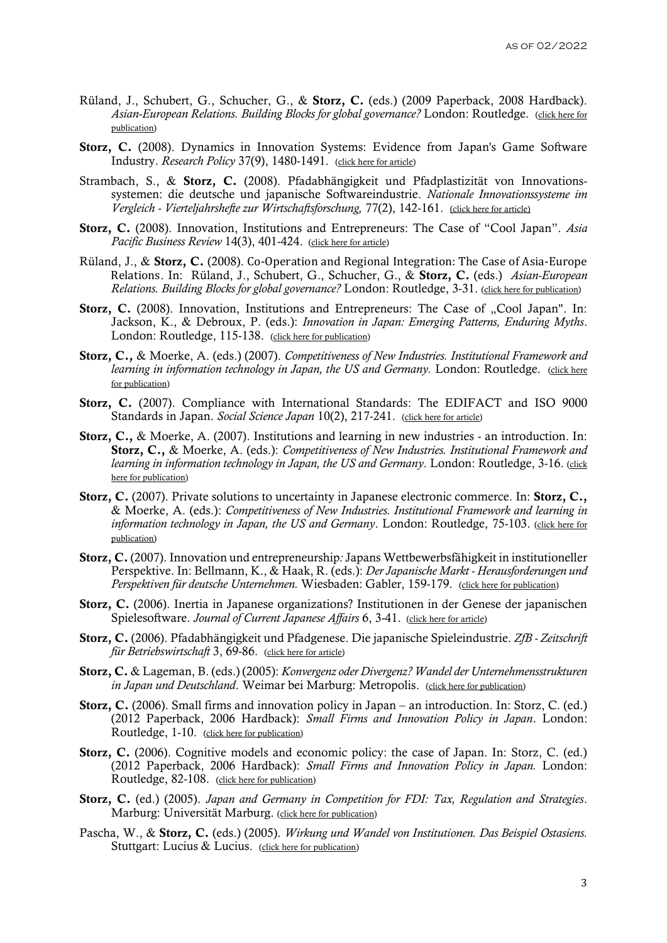- Rüland, J., Schubert, G., Schucher, G., & Storz, C. (eds.) (2009 Paperback, 2008 Hardback). *Asian-European Relations. Building Blocks for global governance?* London: Routledge. [\(click here for](https://www.routledge.com/Asian-European-Relations-Building-Blocks-for-Global-Governance-1st-Edition/Ruland-Schubert-Schucher-Storz/p/book/9780415574235)  [publication\)](https://www.routledge.com/Asian-European-Relations-Building-Blocks-for-Global-Governance-1st-Edition/Ruland-Schubert-Schucher-Storz/p/book/9780415574235)
- Storz, C. (2008). Dynamics in Innovation Systems: Evidence from Japan's Game Software Industry. *Research Policy* 37(9), 1480-1491. [\(click here for article\)](https://doi.org/10.1016/j.respol.2008.05.007)
- Strambach, S., & Storz, C. (2008). Pfadabhängigkeit und Pfadplastizität von Innovationssystemen: die deutsche und japanische Softwareindustrie. *Nationale Innovationssysteme im Vergleich - Vierteljahrshefte zur Wirtschaftsforschung,* 77(2), 142-161. [\(click here for article\)](http://ejournals.duncker-humblot.de/toc/vjh/77/2)
- Storz, C. (2008). Innovation, Institutions and Entrepreneurs: The Case of "Cool Japan". *Asia Pacific Business Review* 14(3), 401-424. [\(click here for article\)](https://doi.org/10.1080/13602380802116823)
- Rüland, J., & Storz, C. (2008). Co-Operation and Regional Integration: The Case of Asia-Europe Relations. In: Rüland, J., Schubert, G., Schucher, G., & Storz, C. (eds.) *Asian-European Relations. Building Blocks for global governance?* London: Routledge, 3-31. [\(click here for publication\)](https://www.routledge.com/Asian-European-Relations-Building-Blocks-for-Global-Governance-1st-Edition/Ruland-Schubert-Schucher-Storz/p/book/9780415574235)
- Storz, C. (2008). Innovation, Institutions and Entrepreneurs: The Case of "Cool Japan". In: Jackson, K., & Debroux, P. (eds.): *Innovation in Japan: Emerging Patterns, Enduring Myths*. London: Routledge, 115-138. [\(click here for publication\)](https://www.routledge.com/Innovation-in-Japan-Emerging-Patterns-Enduring-Myths-1st-Edition/Jackson-Debroux/p/book/9781315869278)
- Storz, C., & Moerke, A. (eds.) (2007). *Competitiveness of New Industries. Institutional Framework and learning in information technology in Japan, the US and Germany. London: Routledge.* (click here [for publication\)](https://www.routledge.com/Competitiveness-of-New-Industries-Institutional-Framework-and-Learning/Storz-Moerke/p/book/9780415547819)
- Storz, C. (2007). Compliance with International Standards: The EDIFACT and ISO 9000 Standards in Japan. *Social Science Japan* 10(2), 217-241. [\(click here for article\)](https://doi.org/10.1093/ssjj/jym048)
- Storz, C., & Moerke, A. (2007). Institutions and learning in new industries an introduction. In: Storz, C., & Moerke, A. (eds.): *Competitiveness of New Industries. Institutional Framework and learning in information technology in Japan, the US and Germany*. London: Routledge, 3-16. [\(click](https://www.routledge.com/Competitiveness-of-New-Industries-Institutional-Framework-and-Learning/Storz-Moerke/p/book/9780415547819)  [here for publication\)](https://www.routledge.com/Competitiveness-of-New-Industries-Institutional-Framework-and-Learning/Storz-Moerke/p/book/9780415547819)
- Storz, C. (2007). Private solutions to uncertainty in Japanese electronic commerce. In: Storz, C., & Moerke, A. (eds.): *Competitiveness of New Industries. Institutional Framework and learning in information technology in Japan, the US and Germany*. London: Routledge, 75-103. [\(click here for](https://www.routledge.com/Competitiveness-of-New-Industries-Institutional-Framework-and-Learning/Storz-Moerke/p/book/9780415547819)  [publication\)](https://www.routledge.com/Competitiveness-of-New-Industries-Institutional-Framework-and-Learning/Storz-Moerke/p/book/9780415547819)
- Storz, C. (2007). Innovation und entrepreneurship*:* Japans Wettbewerbsfähigkeit in institutioneller Perspektive. In: Bellmann, K., & Haak, R. (eds.): *Der Japanische Markt - Herausforderungen und Perspektiven für deutsche Unternehmen.* Wiesbaden: Gabler, 159-179. [\(click here for publication\)](https://www.springer.com/gp/book/9783835007352)
- Storz, C. (2006). Inertia in Japanese organizations? Institutionen in der Genese der japanischen Spielesoftware. *Journal of Current Japanese Affairs* 6, 3-41. [\(click here for article\)](https://www.researchgate.net/publication/5080186_Inertia_in_Japanese_organizations_Institutionen_in_der_Genese_der_japanischen_Spielesoftware)
- Storz, C. (2006). Pfadabhängigkeit und Pfadgenese. Die japanische Spieleindustrie. *ZfB - Zeitschrift für Betriebswirtschaft* 3, 69-86. [\(click here for article\)](https://www.researchgate.net/publication/265412450_Pfadabhangigkeit_und_Pfadgenese_Die_japanische_Spieleindustrie)
- Storz, C. & Lageman, B. (eds.) (2005): *Konvergenz oder Divergenz? Wandel der Unternehmensstrukturen in Japan und Deutschland*. Weimar bei Marburg: Metropolis. [\(click here for publication\)](https://www.metropolis-verlag.de/Konvergenz-oder-Divergenz%3F/478/book.do)
- Storz, C. (2006). Small firms and innovation policy in Japan an introduction. In: Storz, C. (ed.) (2012 Paperback, 2006 Hardback): *Small Firms and Innovation Policy in Japan*. London: Routledge, 1-10. [\(click here for publication\)](https://www.routledge.com/Small-Firms-and-Innovation-Policy-in-Japan-1st-Edition/Storz/p/book/9780415651721)
- Storz, C. (2006). Cognitive models and economic policy: the case of Japan. In: Storz, C. (ed.) (2012 Paperback, 2006 Hardback): *Small Firms and Innovation Policy in Japan.* London: Routledge, 82-108. [\(click here for publication\)](https://www.routledge.com/Small-Firms-and-Innovation-Policy-in-Japan-1st-Edition/Storz/p/book/9780415651721)
- Storz, C. (ed.) (2005). *Japan and Germany in Competition for FDI: Tax, Regulation and Strategies*. Marburg: Universität Marburg. [\(click here for publication\)](https://www.researchgate.net/publication/265412546_Germany_and_Japan_in_competition_for_FDI_tax_systems_regulations_and_business_strategies)
- Pascha, W., & Storz, C. (eds.) (2005). *Wirkung und Wandel von Institutionen. Das Beispiel Ostasiens.*  Stuttgart: Lucius & Lucius. [\(click here for publication\)](https://www.degruyter.com/document/doi/10.1515/9783110510669/html)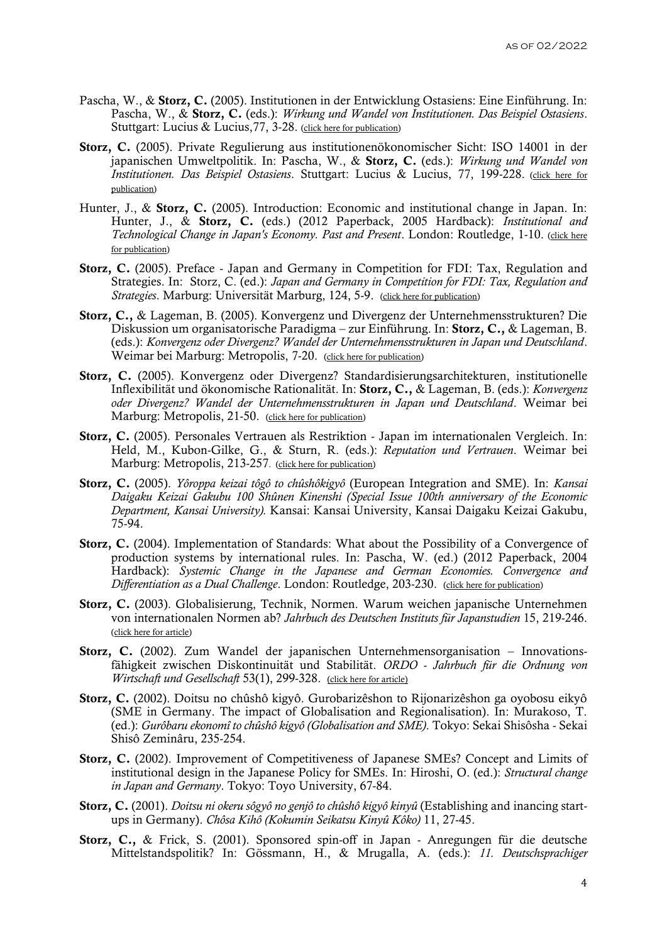- Pascha, W., & Storz, C. (2005). Institutionen in der Entwicklung Ostasiens: Eine Einführung. In: Pascha, W., & Storz, C. (eds.): *Wirkung und Wandel von Institutionen. Das Beispiel Ostasiens*. Stuttgart: Lucius & Lucius, 77, 3-28. [\(click here for publication\)](https://www.degruyter.com/document/doi/10.1515/9783110510669/html)
- Storz, C. (2005). Private Regulierung aus institutionenökonomischer Sicht: ISO 14001 in der japanischen Umweltpolitik. In: Pascha, W., & Storz, C. (eds.): *Wirkung und Wandel von Institutionen. Das Beispiel Ostasiens*. Stuttgart: Lucius & Lucius, 77, 199-228. [\(click here for](https://www.degruyter.com/document/doi/10.1515/9783110510669/html)  [publication\)](https://www.degruyter.com/document/doi/10.1515/9783110510669/html)
- Hunter, J., & Storz, C. (2005). Introduction: Economic and institutional change in Japan. In: Hunter, J., & Storz, C. (eds.) (2012 Paperback, 2005 Hardback): *Institutional and Technological Change in Japan's Economy. Past and Present*. London: Routledge, 1-10. [\(click here](https://www.routledge.com/Institutional-and-Technological-Change-in-Japans-Economy-Past-and-Present/Hunter-Storz/p/book/9780415648585)  [for publication\)](https://www.routledge.com/Institutional-and-Technological-Change-in-Japans-Economy-Past-and-Present/Hunter-Storz/p/book/9780415648585)
- Storz, C. (2005). Preface Japan and Germany in Competition for FDI: Tax, Regulation and Strategies. In: Storz, C. (ed.): *Japan and Germany in Competition for FDI: Tax, Regulation and Strategies*. Marburg: Universität Marburg, 124, 5-9. [\(click here for publication\)](https://www.uni-marburg.de/de/ub/ueber-uns/oeffentlichkeitsarbeit/publikationen/schriften-der-universitaetsbibliothek)
- Storz, C., & Lageman, B. (2005). Konvergenz und Divergenz der Unternehmensstrukturen? Die Diskussion um organisatorische Paradigma – zur Einführung. In: Storz, C., & Lageman, B. (eds.): *Konvergenz oder Divergenz? Wandel der Unternehmensstrukturen in Japan und Deutschland*. Weimar bei Marburg: Metropolis, 7-20. [\(click here for publication\)](https://www.metropolis-verlag.de/Konvergenz-oder-Divergenz%3F/478/book.do)
- Storz, C. (2005). Konvergenz oder Divergenz? Standardisierungsarchitekturen, institutionelle Inflexibilität und ökonomische Rationalität. In: Storz, C., & Lageman, B. (eds.): *Konvergenz oder Divergenz? Wandel der Unternehmensstrukturen in Japan und Deutschland*. Weimar bei Marburg: Metropolis, 21-50. [\(click here for publication\)](https://www.metropolis-verlag.de/Konvergenz-oder-Divergenz%3F/478/book.do)
- Storz, C. (2005). Personales Vertrauen als Restriktion Japan im internationalen Vergleich. In: Held, M., Kubon-Gilke, G., & Sturn, R. (eds.): *Reputation und Vertrauen*. Weimar bei Marburg: Metropolis, 213-257. [\(click here for publication\)](https://www.metropolis-verlag.de/Reputation-und-Vertrauen/495/book.do)
- Storz, C. (2005). *Yôroppa keizai tôgô to chûshôkigyô* (European Integration and SME). In: *Kansai Daigaku Keizai Gakubu 100 Shûnen Kinenshi (Special Issue 100th anniversary of the Economic Department, Kansai University).* Kansai: Kansai University, Kansai Daigaku Keizai Gakubu, 75-94.
- Storz, C. (2004). Implementation of Standards: What about the Possibility of a Convergence of production systems by international rules. In: Pascha, W. (ed.) (2012 Paperback, 2004 Hardback): *Systemic Change in the Japanese and German Economies. Convergence and Differentiation as a Dual Challenge*. London: Routledge, 203-230. [\(click here for publication\)](https://www.routledge.com/Systemic-Changes-in-the-German-and-Japanese-Economies-Convergence-and/Pascha/p/book/9780415652155)
- Storz, C. (2003). Globalisierung, Technik, Normen. Warum weichen japanische Unternehmen von internationalen Normen ab? *Jahrbuch des Deutschen Instituts für Japanstudien* 15, 219-246. [\(click here for article\)](https://www.researchgate.net/publication/265412553_Globalisierung_Technik_Normen_Warum_weichen_japanische_Unternehmen_von_internationalen_Normen_ab)
- Storz, C. (2002). Zum Wandel der japanischen Unternehmensorganisation Innovationsfähigkeit zwischen Diskontinuität und Stabilität. *ORDO - Jahrbuch für die Ordnung von Wirtschaft und Gesellschaft* 53(1), 299-328. [\(click here for article\)](https://www.degruyter.com/view/j/ordo.2002.53.issue-1/ordo-2002-0117/ordo-2002-0117.xml)
- Storz, C. (2002). Doitsu no chûshô kigyô. Gurobarizêshon to Rijonarizêshon ga oyobosu eikyô (SME in Germany. The impact of Globalisation and Regionalisation). In: Murakoso, T. (ed.): *Gurôbaru ekonomî to chûshô kigyô (Globalisation and SME)*. Tokyo: Sekai Shisôsha - Sekai Shisô Zeminâru, 235-254.
- Storz, C. (2002). Improvement of Competitiveness of Japanese SMEs? Concept and Limits of institutional design in the Japanese Policy for SMEs. In: Hiroshi, O. (ed.): *Structural change in Japan and Germany*. Tokyo: Toyo University, 67-84.
- Storz, C. (2001). *Doitsu ni okeru sôgyô no genjô to chûshô kigyô kinyû* (Establishing and inancing startups in Germany). *Chôsa Kihô (Kokumin Seikatsu Kinyû Kôko)* 11, 27-45.
- Storz, C., & Frick, S. (2001). Sponsored spin-off in Japan Anregungen für die deutsche Mittelstandspolitik? In: Gössmann, H., & Mrugalla, A. (eds.): *11. Deutschsprachiger*